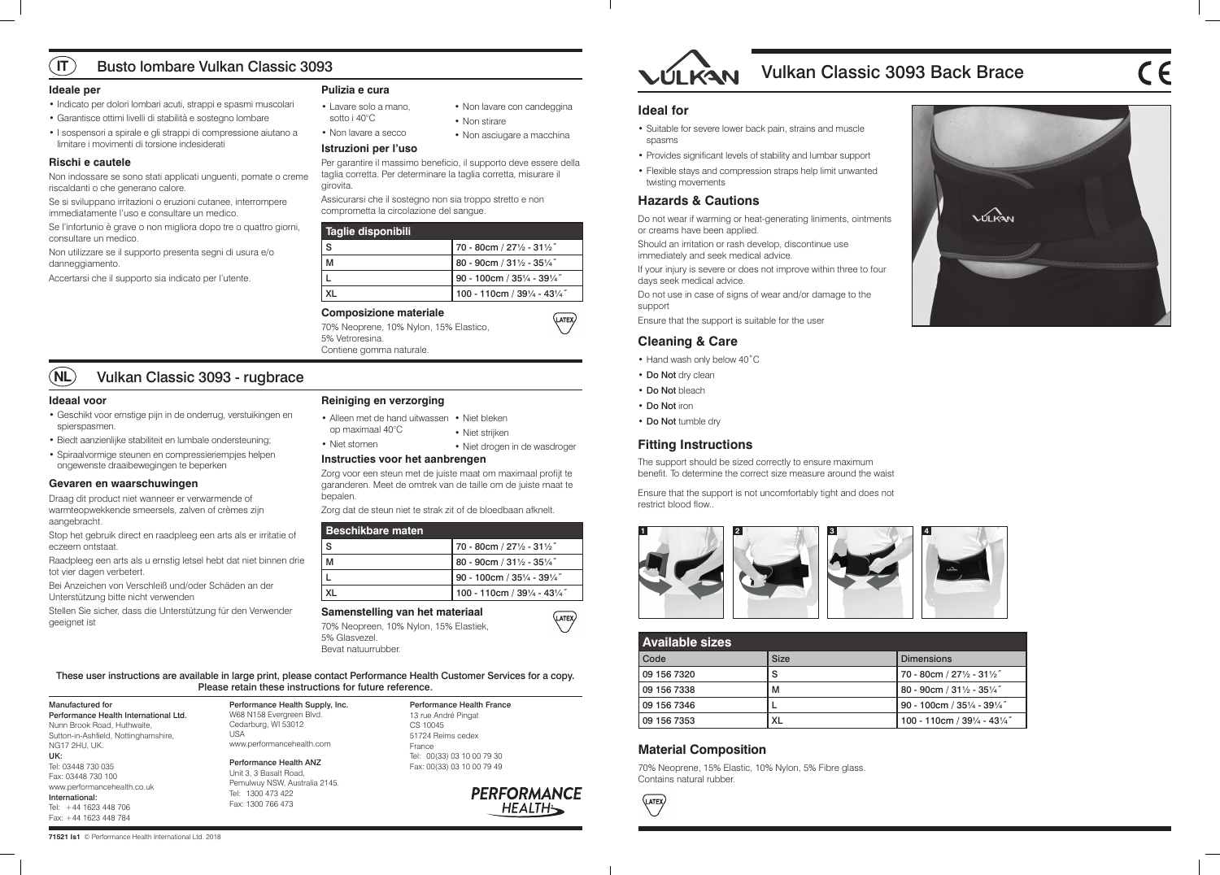

**71521 Is1** © Performance Health International Ltd. 2018

| <b>Available sizes</b> |             |                                                   |
|------------------------|-------------|---------------------------------------------------|
| Code                   | <b>Size</b> | <b>Dimensions</b>                                 |
| 09 156 7320            | S           | 70 - 80cm / 271/2 - 311/2"                        |
| 09 156 7338            | м           | 80 - 90cm / 31 $\frac{1}{2}$ - 35 $\frac{1}{4}$ " |
| 09 156 7346            |             | 90 - 100cm / 351/4 - 391/4"                       |
| 09 156 7353            | XL          | 100 - 110cm / 391/4 - 431/4"                      |

# **Material Composition**

70% Neoprene, 15% Elastic, 10% Nylon, 5% Fibre glass. Contains natural rubber.

**LATEX** 

These user instructions are available in large print, please contact Performance Health Customer Services for a copy. Please retain these instructions for future reference.

Manufactured for Performance Health International Ltd. Nunn Brook Road, Huthwaite, Sutton-in-Ashfield, Nottinghamshire, NG17 2HU, UK. UK: Tel: 03448 730 035 Fax: 03448 730 100 www.performancehealth.co.uk International: Tel: +44 1623 448 706 Fax: +44 1623 448 784

Performance Health Supply, Inc. W68 N158 Evergreen Blvd. Cedarburg, WI 53012 USA www.performancehealth.com

Performance Health ANZ Unit 3, 3 Basalt Road, Pemulwuy NSW, Australia 2145. Tel: 1300 473 422 Fax: 1300 766 473

Performance Health France 13 rue André Pingat CS 10045 51724 Reims cedex France Tel: 00(33) 03 10 00 79 30

Fax: 00(33) 03 10 00 79 49



# **Ideal for**

- Suitable for severe lower back pain, strains and muscle spasms
- Provides significant levels of stability and lumbar support
- Flexible stays and compression straps help limit unwanted twisting movements

# **Hazards & Cautions**

Do not wear if warming or heat-generating liniments, ointments or creams have been applied.

Should an irritation or rash develop, discontinue use immediately and seek medical advice.

If your injury is severe or does not improve within three to four days seek medical advice.

Do not use in case of signs of wear and/or damage to the support

Ensure that the support is suitable for the user

# **Cleaning & Care**

- Hand wash only below 40˚C
- Do Not dry clean
- Do Not bleach
- Do Not iron
- Do Not tumble dry

# **Fitting Instructions**

The support should be sized correctly to ensure maximum benefit. To determine the correct size measure around the waist

Ensure that the support is not uncomfortably tight and does not restrict blood flow..

# **Ideale per**

- Indicato per dolori lombari acuti, strappi e spasmi muscolari
- Garantisce ottimi livelli di stabilità e sostegno lombare
- I sospensori a spirale e gli strappi di compressione aiutano a limitare i movimenti di torsione indesiderati

#### $\sqrt{11}$ Busto lombare Vulkan Classic 3093

#### **Rischi e cautele**

- Alleen met de hand uitwassen Niet bleken op maximaal 40°C • Niet strijken
	- Niet drogen in de wasdroger

Non indossare se sono stati applicati unguenti, pomate o creme riscaldanti o che generano calore.

Se si sviluppano irritazioni o eruzioni cutanee, interrompere immediatamente l'uso e consultare un medico.

Se l'infortunio è grave o non migliora dopo tre o quattro giorni, consultare un medico.

Non utilizzare se il supporto presenta segni di usura e/o danneggiamento.

Accertarsi che il supporto sia indicato per l'utente.

# **Pulizia e cura**

#### **Istruzioni per l'uso**

Per garantire il massimo beneficio, il supporto deve essere della taglia corretta. Per determinare la taglia corretta, misurare il girovita.

Assicurarsi che il sostegno non sia troppo stretto e non comprometta la circolazione del sangue.

| Taglie disponibili |                               |  |
|--------------------|-------------------------------|--|
| <b>S</b>           | 70 - 80cm / 271/2 - 311/2"    |  |
| м                  | $80 - 90$ cm / 311/2 - 351/4" |  |
|                    | 90 - 100cm / 351/4 - 391/4"   |  |
|                    | 100 - 110cm / 391/4 - 431/4"  |  |

# **Composizione materiale**

70% Neoprene, 10% Nylon, 15% Elastico, 5% Vetroresina. Contiene gomma naturale.

#### **Ideaal voor**



- Geschikt voor ernstige pijn in de onderrug, verstuikingen en spierspasmen.
- Biedt aanzienlijke stabiliteit en lumbale ondersteuning;
- Spiraalvormige steunen en compressieriempjes helpen ongewenste draaibewegingen te beperken

#### **Gevaren en waarschuwingen**

Draag dit product niet wanneer er verwarmende of warmteopwekkende smeersels, zalven of crèmes zijn aangebracht.

Stop het gebruik direct en raadpleeg een arts als er irritatie of eczeem ontstaat.

Raadpleeg een arts als u ernstig letsel hebt dat niet binnen drie tot vier dagen verbetert.

Bei Anzeichen von Verschleiß und/oder Schäden an der Unterstützung bitte nicht verwenden

Stellen Sie sicher, dass die Unterstützung für den Verwender geeignet ist

# **Reiniging en verzorging**

# **Instructies voor het aanbrengen**

Zorg voor een steun met de juiste maat om maximaal profijt te garanderen. Meet de omtrek van de taille om de juiste maat te bepalen.

Zorg dat de steun niet te strak zit of de bloedbaan afknelt.

| <b>Beschikbare maten</b> |                              |
|--------------------------|------------------------------|
| S                        | 70 - 80cm / 271/2 - 311/2"   |
|                          | 80 - 90cm / 311/2 - 351/4"   |
|                          | 90 - 100cm / 351/4 - 391/4"  |
|                          | 100 - 110cm / 391/4 - 431/4" |

#### **Samenstelling van het materiaal**

70% Neopreen, 10% Nylon, 15% Elastiek, 5% Glasvezel. Bevat natuurrubber.



- Lavare solo a mano, sotto i 40°C
- Non lavare a secco

• Non lavare con candeggina

• Non stirare

• Non asciugare a macchina

 $\overline{\text{LATER}}$ 

(LATEX)

• Niet stomen